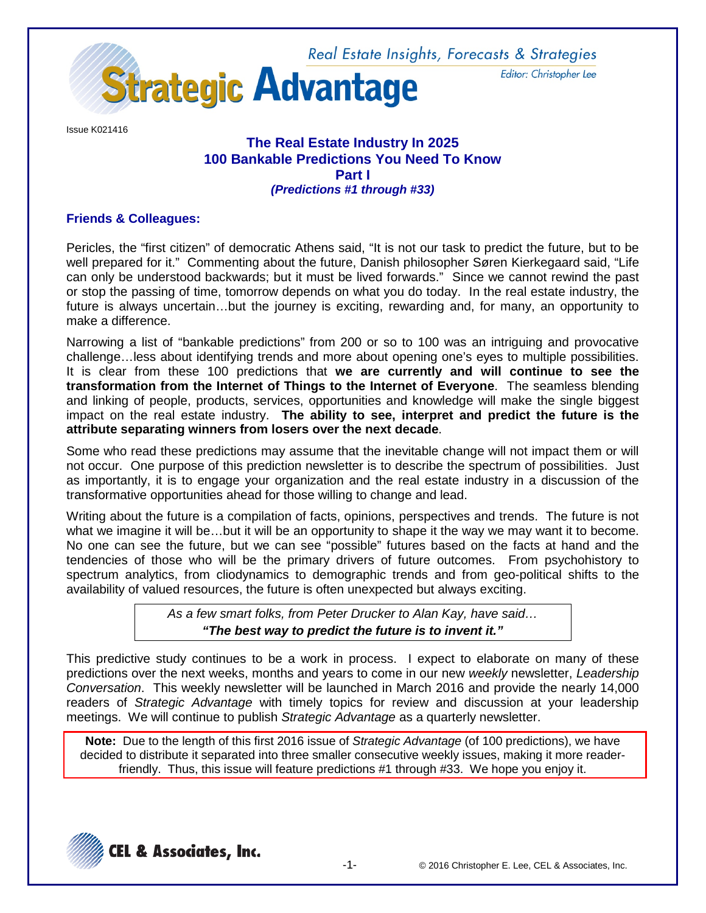

Issue K021416

## **The Real Estate Industry In 2025 100 Bankable Predictions You Need To Know Part I** *(Predictions #1 through #33)*

# **Friends & Colleagues:**

Pericles, the "first citizen" of democratic Athens said, "It is not our task to predict the future, but to be well prepared for it." Commenting about the future, Danish philosopher Søren Kierkegaard said, "Life can only be understood backwards; but it must be lived forwards." Since we cannot rewind the past or stop the passing of time, tomorrow depends on what you do today. In the real estate industry, the future is always uncertain…but the journey is exciting, rewarding and, for many, an opportunity to make a difference.

Narrowing a list of "bankable predictions" from 200 or so to 100 was an intriguing and provocative challenge…less about identifying trends and more about opening one's eyes to multiple possibilities. It is clear from these 100 predictions that **we are currently and will continue to see the transformation from the Internet of Things to the Internet of Everyone**. The seamless blending and linking of people, products, services, opportunities and knowledge will make the single biggest impact on the real estate industry. **The ability to see, interpret and predict the future is the attribute separating winners from losers over the next decade**.

Some who read these predictions may assume that the inevitable change will not impact them or will not occur. One purpose of this prediction newsletter is to describe the spectrum of possibilities. Just as importantly, it is to engage your organization and the real estate industry in a discussion of the transformative opportunities ahead for those willing to change and lead.

Writing about the future is a compilation of facts, opinions, perspectives and trends. The future is not what we imagine it will be…but it will be an opportunity to shape it the way we may want it to become. No one can see the future, but we can see "possible" futures based on the facts at hand and the tendencies of those who will be the primary drivers of future outcomes. From psychohistory to spectrum analytics, from cliodynamics to demographic trends and from geo-political shifts to the availability of valued resources, the future is often unexpected but always exciting.

> *As a few smart folks, from Peter Drucker to Alan Kay, have said… "The best way to predict the future is to invent it."*

This predictive study continues to be a work in process. I expect to elaborate on many of these predictions over the next weeks, months and years to come in our new *weekly* newsletter, *Leadership Conversation*. This weekly newsletter will be launched in March 2016 and provide the nearly 14,000 readers of *Strategic Advantage* with timely topics for review and discussion at your leadership meetings. We will continue to publish *Strategic Advantage* as a quarterly newsletter.

**Note:** Due to the length of this first 2016 issue of *Strategic Advantage* (of 100 predictions), we have decided to distribute it separated into three smaller consecutive weekly issues, making it more readerfriendly. Thus, this issue will feature predictions #1 through #33. We hope you enjoy it.



Editor: Christopher Lee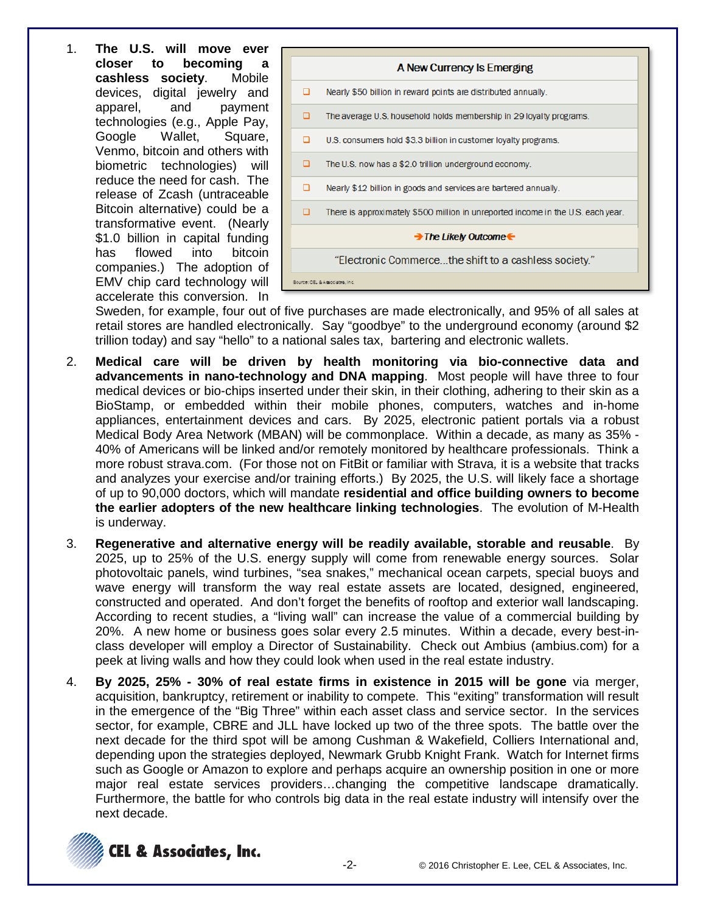1. **The U.S. will move ever becoming** a **cashless society**. Mobile devices, digital jewelry and apparel, and payment technologies (e.g., Apple Pay, Google Wallet, Square, Venmo, bitcoin and others with biometric technologies) will reduce the need for cash. The release of Zcash (untraceable Bitcoin alternative) could be a transformative event. (Nearly \$1.0 billion in capital funding has flowed into bitcoin companies.) The adoption of EMV chip card technology will accelerate this conversion. In



Sweden, for example, four out of five purchases are made electronically, and 95% of all sales at retail stores are handled electronically. Say "goodbye" to the underground economy (around \$2 trillion today) and say "hello" to a national sales tax, bartering and electronic wallets.

- 2. **Medical care will be driven by health monitoring via bio-connective data and advancements in nano-technology and DNA mapping**. Most people will have three to four medical devices or bio-chips inserted under their skin, in their clothing, adhering to their skin as a BioStamp, or embedded within their mobile phones, computers, watches and in-home appliances, entertainment devices and cars. By 2025, electronic patient portals via a robust Medical Body Area Network (MBAN) will be commonplace. Within a decade, as many as 35% - 40% of Americans will be linked and/or remotely monitored by healthcare professionals. Think a more robust strava.com. (For those not on FitBit or familiar with Strava*,* it is a website that tracks and analyzes your exercise and/or training efforts.) By 2025, the U.S. will likely face a shortage of up to 90,000 doctors, which will mandate **residential and office building owners to become the earlier adopters of the new healthcare linking technologies**. The evolution of M-Health is underway.
- 3. **Regenerative and alternative energy will be readily available, storable and reusable**. By 2025, up to 25% of the U.S. energy supply will come from renewable energy sources. Solar photovoltaic panels, wind turbines, "sea snakes," mechanical ocean carpets, special buoys and wave energy will transform the way real estate assets are located, designed, engineered, constructed and operated. And don't forget the benefits of rooftop and exterior wall landscaping. According to recent studies, a "living wall" can increase the value of a commercial building by 20%. A new home or business goes solar every 2.5 minutes. Within a decade, every best-inclass developer will employ a Director of Sustainability. Check out Ambius (ambius.com) for a peek at living walls and how they could look when used in the real estate industry.
- 4. **By 2025, 25% - 30% of real estate firms in existence in 2015 will be gone** via merger, acquisition, bankruptcy, retirement or inability to compete. This "exiting" transformation will result in the emergence of the "Big Three" within each asset class and service sector. In the services sector, for example, CBRE and JLL have locked up two of the three spots. The battle over the next decade for the third spot will be among Cushman & Wakefield, Colliers International and, depending upon the strategies deployed, Newmark Grubb Knight Frank. Watch for Internet firms such as Google or Amazon to explore and perhaps acquire an ownership position in one or more major real estate services providers…changing the competitive landscape dramatically. Furthermore, the battle for who controls big data in the real estate industry will intensify over the next decade.

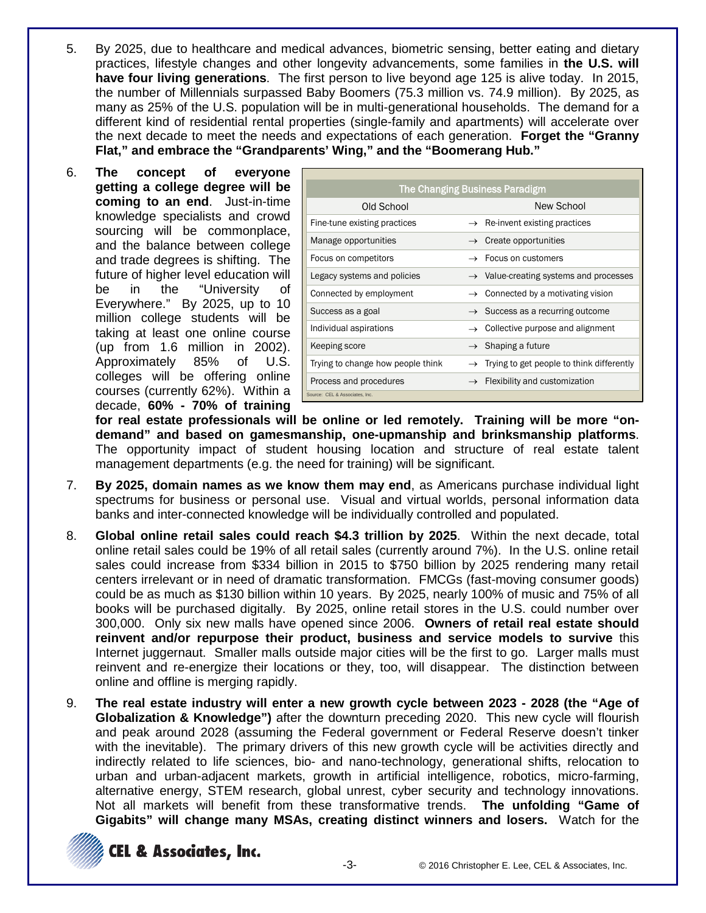- 5. By 2025, due to healthcare and medical advances, biometric sensing, better eating and dietary practices, lifestyle changes and other longevity advancements, some families in **the U.S. will have four living generations**. The first person to live beyond age 125 is alive today. In 2015, the number of Millennials surpassed Baby Boomers (75.3 million vs. 74.9 million). By 2025, as many as 25% of the U.S. population will be in multi-generational households. The demand for a different kind of residential rental properties (single-family and apartments) will accelerate over the next decade to meet the needs and expectations of each generation. **Forget the "Granny Flat," and embrace the "Grandparents' Wing," and the "Boomerang Hub."**
- 6. **The concept of everyone getting a college degree will be coming to an end**. Just-in-time knowledge specialists and crowd sourcing will be commonplace, and the balance between college and trade degrees is shifting. The future of higher level education will be in the "University of Everywhere." By 2025, up to 10 million college students will be taking at least one online course (up from 1.6 million in 2002). Approximately 85% of U.S. colleges will be offering online courses (currently 62%). Within a decade, **60% - 70% of training**

| The Changing Business Paradigm    |                                                    |  |  |  |
|-----------------------------------|----------------------------------------------------|--|--|--|
| Old School                        | New School                                         |  |  |  |
| Fine-tune existing practices      | Re-invent existing practices                       |  |  |  |
| Manage opportunities              | $\rightarrow$ Create opportunities                 |  |  |  |
| Focus on competitors              | $\rightarrow$ Focus on customers                   |  |  |  |
| Legacy systems and policies       | $\rightarrow$ Value-creating systems and processes |  |  |  |
| Connected by employment           | Connected by a motivating vision                   |  |  |  |
| Success as a goal                 | $\rightarrow$ Success as a recurring outcome       |  |  |  |
| Individual aspirations            | Collective purpose and alignment                   |  |  |  |
| Keeping score                     | $\rightarrow$ Shaping a future                     |  |  |  |
| Trying to change how people think | Trying to get people to think differently          |  |  |  |
| Process and procedures            | Flexibility and customization                      |  |  |  |
| Source: CEL & Associates, Inc.    |                                                    |  |  |  |

**for real estate professionals will be online or led remotely. Training will be more "ondemand" and based on gamesmanship, one-upmanship and brinksmanship platforms**. The opportunity impact of student housing location and structure of real estate talent management departments (e.g. the need for training) will be significant.

- 7. **By 2025, domain names as we know them may end**, as Americans purchase individual light spectrums for business or personal use. Visual and virtual worlds, personal information data banks and inter-connected knowledge will be individually controlled and populated.
- 8. **Global online retail sales could reach \$4.3 trillion by 2025**. Within the next decade, total online retail sales could be 19% of all retail sales (currently around 7%). In the U.S. online retail sales could increase from \$334 billion in 2015 to \$750 billion by 2025 rendering many retail centers irrelevant or in need of dramatic transformation. FMCGs (fast-moving consumer goods) could be as much as \$130 billion within 10 years. By 2025, nearly 100% of music and 75% of all books will be purchased digitally. By 2025, online retail stores in the U.S. could number over 300,000. Only six new malls have opened since 2006. **Owners of retail real estate should reinvent and/or repurpose their product, business and service models to survive** this Internet juggernaut. Smaller malls outside major cities will be the first to go. Larger malls must reinvent and re-energize their locations or they, too, will disappear. The distinction between online and offline is merging rapidly.
- 9. **The real estate industry will enter a new growth cycle between 2023 - 2028 (the "Age of Globalization & Knowledge")** after the downturn preceding 2020. This new cycle will flourish and peak around 2028 (assuming the Federal government or Federal Reserve doesn't tinker with the inevitable). The primary drivers of this new growth cycle will be activities directly and indirectly related to life sciences, bio- and nano-technology, generational shifts, relocation to urban and urban-adjacent markets, growth in artificial intelligence, robotics, micro-farming, alternative energy, STEM research, global unrest, cyber security and technology innovations. Not all markets will benefit from these transformative trends. **The unfolding "Game of Gigabits" will change many MSAs, creating distinct winners and losers.** Watch for the



**CEL & Associates, Inc.**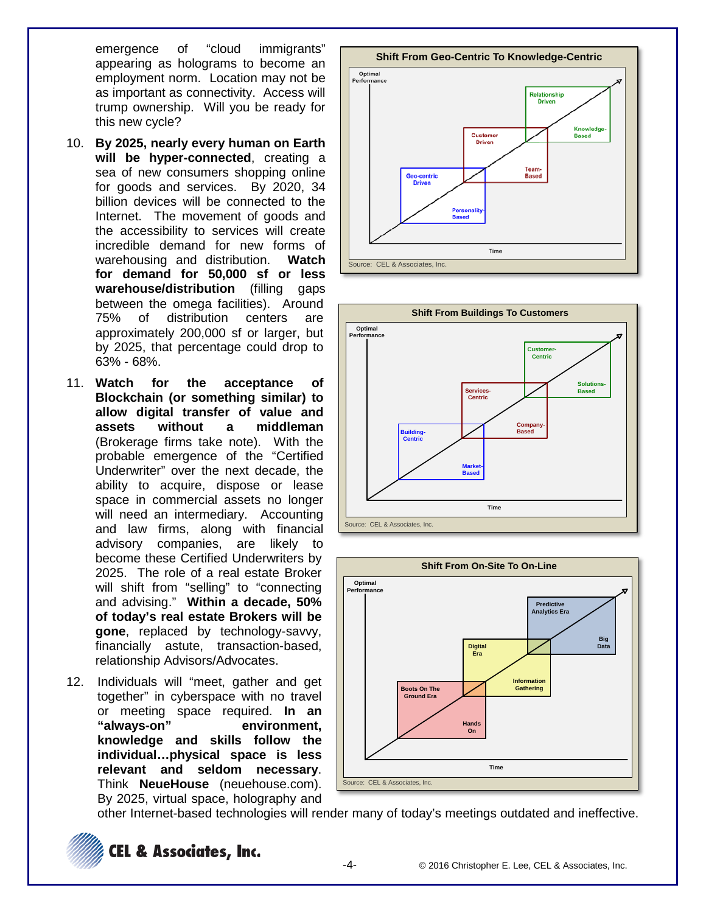emergence of "cloud immigrants" appearing as holograms to become an employment norm. Location may not be as important as connectivity. Access will trump ownership. Will you be ready for this new cycle?

- 10. **By 2025, nearly every human on Earth will be hyper-connected**, creating a sea of new consumers shopping online for goods and services. By 2020, 34 billion devices will be connected to the Internet. The movement of goods and the accessibility to services will create incredible demand for new forms of warehousing and distribution. **Watch for demand for 50,000 sf or less warehouse/distribution** (filling gaps between the omega facilities). Around 75% of distribution centers are approximately 200,000 sf or larger, but by 2025, that percentage could drop to 63% - 68%.
- 11. **Watch for the acceptance of Blockchain (or something similar) to allow digital transfer of value and assets without a middleman** (Brokerage firms take note). With the probable emergence of the "Certified Underwriter" over the next decade, the ability to acquire, dispose or lease space in commercial assets no longer will need an intermediary. Accounting and law firms, along with financial advisory companies, are likely to become these Certified Underwriters by 2025. The role of a real estate Broker will shift from "selling" to "connecting and advising." **Within a decade, 50% of today's real estate Brokers will be gone**, replaced by technology-savvy, financially astute, transaction-based, relationship Advisors/Advocates.
- 12. Individuals will "meet, gather and get together" in cyberspace with no travel or meeting space required. **In an "always-on" environment, knowledge and skills follow the individual…physical space is less relevant and seldom necessary**. Think **NeueHouse** (neuehouse.com). By 2025, virtual space, holography and







other Internet-based technologies will render many of today's meetings outdated and ineffective.

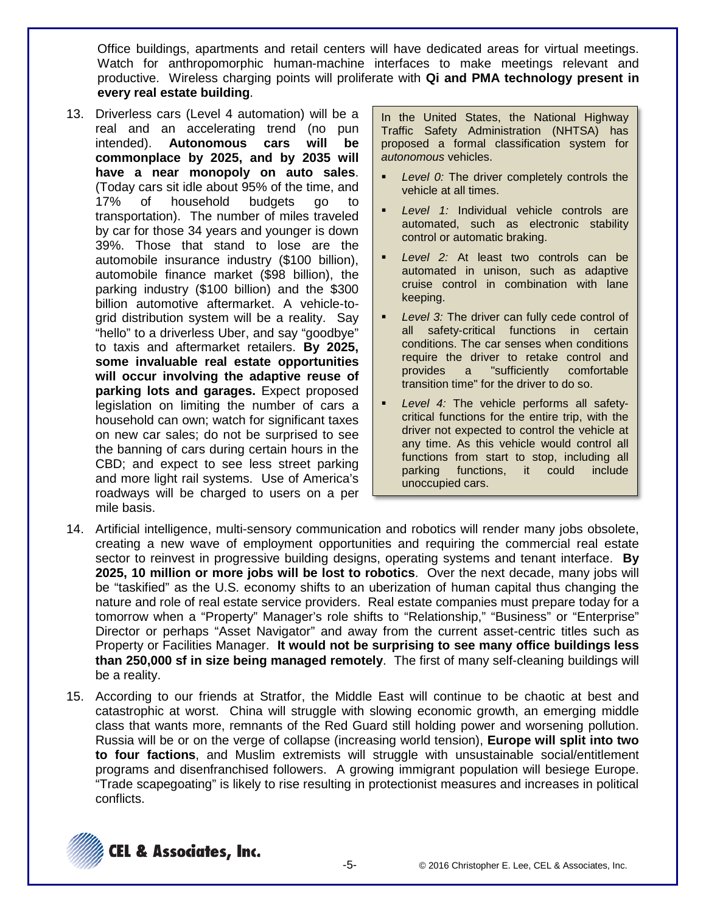Office buildings, apartments and retail centers will have dedicated areas for virtual meetings. Watch for anthropomorphic human-machine interfaces to make meetings relevant and productive. Wireless charging points will proliferate with **Qi and PMA technology present in every real estate building**.

13. Driverless cars (Level 4 automation) will be a real and an accelerating trend (no pun intended). **Autonomous cars will be commonplace by 2025, and by 2035 will have a near monopoly on auto sales**. (Today cars sit idle about 95% of the time, and 17% of household budgets go to transportation). The number of miles traveled by car for those 34 years and younger is down 39%. Those that stand to lose are the automobile insurance industry (\$100 billion), automobile finance market (\$98 billion), the parking industry (\$100 billion) and the \$300 billion automotive aftermarket. A vehicle-togrid distribution system will be a reality. Say "hello" to a driverless Uber, and say "goodbye" to taxis and aftermarket retailers. **By 2025, some invaluable real estate opportunities will occur involving the adaptive reuse of parking lots and garages.** Expect proposed legislation on limiting the number of cars a household can own; watch for significant taxes on new car sales; do not be surprised to see the banning of cars during certain hours in the CBD; and expect to see less street parking and more light rail systems. Use of America's roadways will be charged to users on a per mile basis.

In the United States, the National Highway Traffic Safety Administration (NHTSA) has proposed a formal classification system for *autonomous* vehicles.

- *Level 0:* The driver completely controls the vehicle at all times.
- *Level 1:* Individual vehicle controls are automated, such as electronic stability control or automatic braking.
- *Level 2:* At least two controls can be automated in unison, such as adaptive cruise control in combination with lane keeping.
- *Level 3:* The driver can fully cede control of all safety-critical functions in certain conditions. The car senses when conditions require the driver to retake control and provides a "sufficiently comfortable transition time" for the driver to do so.
- *Level 4:* The vehicle performs all safetycritical functions for the entire trip, with the driver not expected to control the vehicle at any time. As this vehicle would control all functions from start to stop, including all parking functions, it could include unoccupied cars.
- 14. Artificial intelligence, multi-sensory communication and robotics will render many jobs obsolete, creating a new wave of employment opportunities and requiring the commercial real estate sector to reinvest in progressive building designs, operating systems and tenant interface. **By 2025, 10 million or more jobs will be lost to robotics**. Over the next decade, many jobs will be "taskified" as the U.S. economy shifts to an uberization of human capital thus changing the nature and role of real estate service providers. Real estate companies must prepare today for a tomorrow when a "Property" Manager's role shifts to "Relationship," "Business" or "Enterprise" Director or perhaps "Asset Navigator" and away from the current asset-centric titles such as Property or Facilities Manager. **It would not be surprising to see many office buildings less than 250,000 sf in size being managed remotely**. The first of many self-cleaning buildings will be a reality.
- 15. According to our friends at Stratfor, the Middle East will continue to be chaotic at best and catastrophic at worst. China will struggle with slowing economic growth, an emerging middle class that wants more, remnants of the Red Guard still holding power and worsening pollution. Russia will be or on the verge of collapse (increasing world tension), **Europe will split into two to four factions**, and Muslim extremists will struggle with unsustainable social/entitlement programs and disenfranchised followers. A growing immigrant population will besiege Europe. "Trade scapegoating" is likely to rise resulting in protectionist measures and increases in political conflicts.

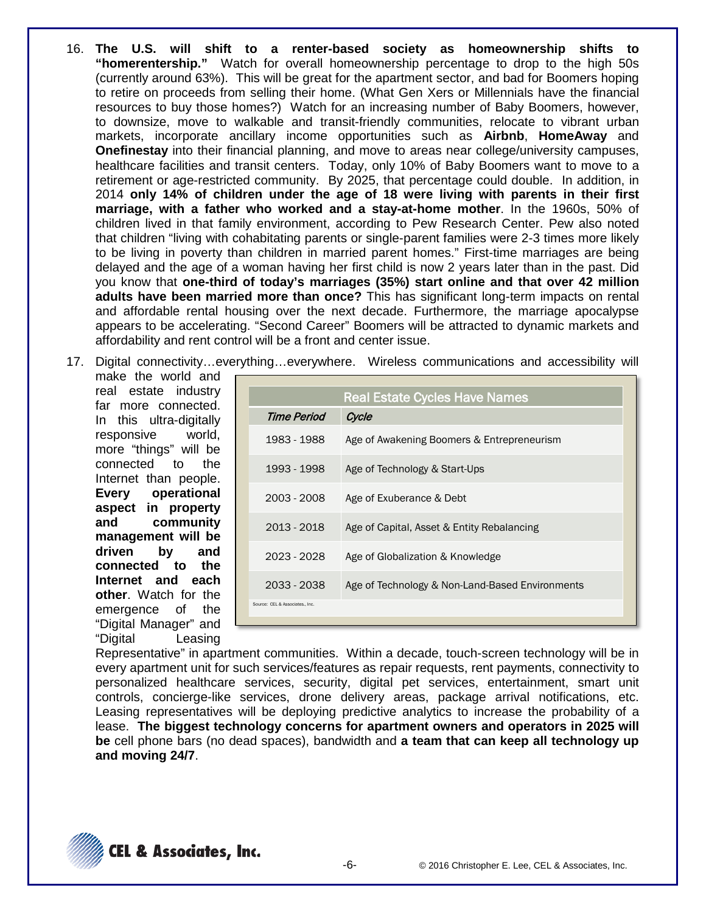- 16. **The U.S. will shift to a renter-based society as homeownership shifts to "homerentership."** Watch for overall homeownership percentage to drop to the high 50s (currently around 63%). This will be great for the apartment sector, and bad for Boomers hoping to retire on proceeds from selling their home. (What Gen Xers or Millennials have the financial resources to buy those homes?) Watch for an increasing number of Baby Boomers, however, to downsize, move to walkable and transit-friendly communities, relocate to vibrant urban markets, incorporate ancillary income opportunities such as **Airbnb**, **HomeAway** and **Onefinestay** into their financial planning, and move to areas near college/university campuses, healthcare facilities and transit centers. Today, only 10% of Baby Boomers want to move to a retirement or age-restricted community. By 2025, that percentage could double. In addition, in 2014 **only 14% of children under the age of 18 were living with parents in their first marriage, with a father who worked and a stay-at-home mother**. In the 1960s, 50% of children lived in that family environment, according to Pew Research Center. Pew also noted that children "living with cohabitating parents or single-parent families were 2-3 times more likely to be living in poverty than children in married parent homes." First-time marriages are being delayed and the age of a woman having her first child is now 2 years later than in the past. Did you know that **one-third of today's marriages (35%) start online and that over 42 million adults have been married more than once?** This has significant long-term impacts on rental and affordable rental housing over the next decade. Furthermore, the marriage apocalypse appears to be accelerating. "Second Career" Boomers will be attracted to dynamic markets and affordability and rent control will be a front and center issue.
- 17. Digital connectivity…everything…everywhere. Wireless communications and accessibility will

make the world and real estate industry far more connected. In this ultra-digitally responsive world, more "things" will be connected to the Internet than people. **Every operational aspect in property and community management will be driven by and connected to the Internet and each other**. Watch for the emergence of the "Digital Manager" and "Digital Leasing

|                                 | <b>Real Estate Cycles Have Names</b>            |
|---------------------------------|-------------------------------------------------|
| Time Period                     | Cycle                                           |
| 1983 - 1988                     | Age of Awakening Boomers & Entrepreneurism      |
| 1993 - 1998                     | Age of Technology & Start-Ups                   |
| 2003 - 2008                     | Age of Exuberance & Debt                        |
| 2013 - 2018                     | Age of Capital, Asset & Entity Rebalancing      |
| 2023 - 2028                     | Age of Globalization & Knowledge                |
| 2033 - 2038                     | Age of Technology & Non-Land-Based Environments |
| Source: CEL & Associates., Inc. |                                                 |

Representative" in apartment communities. Within a decade, touch-screen technology will be in every apartment unit for such services/features as repair requests, rent payments, connectivity to personalized healthcare services, security, digital pet services, entertainment, smart unit controls, concierge-like services, drone delivery areas, package arrival notifications, etc. Leasing representatives will be deploying predictive analytics to increase the probability of a lease. **The biggest technology concerns for apartment owners and operators in 2025 will be** cell phone bars (no dead spaces), bandwidth and **a team that can keep all technology up and moving 24/7**.

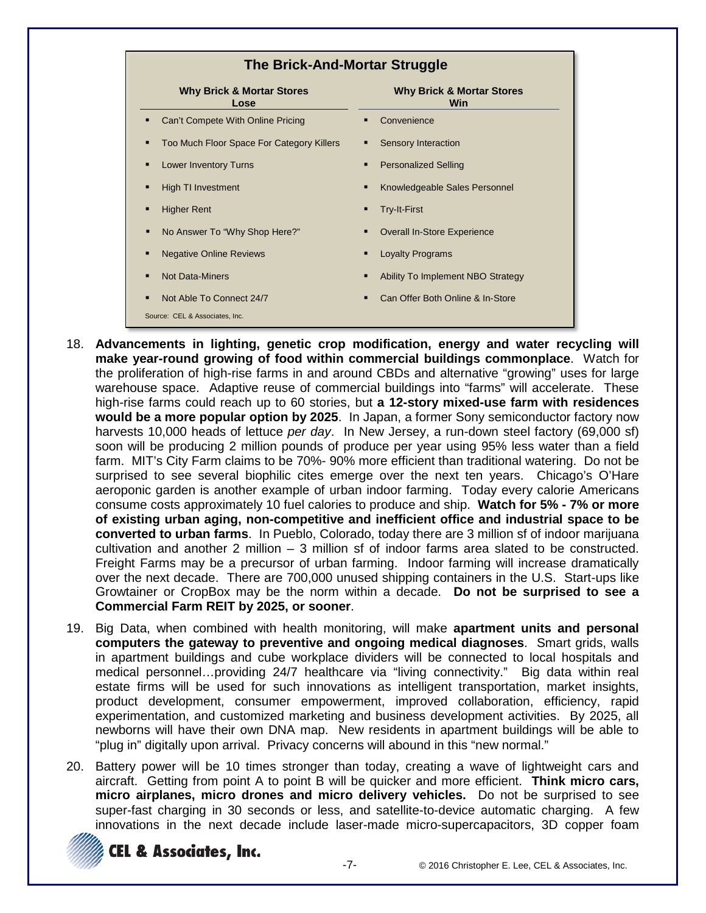

- 18. **Advancements in lighting, genetic crop modification, energy and water recycling will make year-round growing of food within commercial buildings commonplace**. Watch for the proliferation of high-rise farms in and around CBDs and alternative "growing" uses for large warehouse space. Adaptive reuse of commercial buildings into "farms" will accelerate. These high-rise farms could reach up to 60 stories, but **a 12-story mixed-use farm with residences would be a more popular option by 2025**. In Japan, a former Sony semiconductor factory now harvests 10,000 heads of lettuce *per day*. In New Jersey, a run-down steel factory (69,000 sf) soon will be producing 2 million pounds of produce per year using 95% less water than a field farm. MIT's City Farm claims to be 70%- 90% more efficient than traditional watering. Do not be surprised to see several biophilic cites emerge over the next ten years. Chicago's O'Hare aeroponic garden is another example of urban indoor farming. Today every calorie Americans consume costs approximately 10 fuel calories to produce and ship. **Watch for 5% - 7% or more of existing urban aging, non-competitive and inefficient office and industrial space to be converted to urban farms**. In Pueblo, Colorado, today there are 3 million sf of indoor marijuana cultivation and another 2 million – 3 million sf of indoor farms area slated to be constructed. Freight Farms may be a precursor of urban farming. Indoor farming will increase dramatically over the next decade. There are 700,000 unused shipping containers in the U.S. Start-ups like Growtainer or CropBox may be the norm within a decade. **Do not be surprised to see a Commercial Farm REIT by 2025, or sooner**.
- 19. Big Data, when combined with health monitoring, will make **apartment units and personal computers the gateway to preventive and ongoing medical diagnoses**. Smart grids, walls in apartment buildings and cube workplace dividers will be connected to local hospitals and medical personnel…providing 24/7 healthcare via "living connectivity." Big data within real estate firms will be used for such innovations as intelligent transportation, market insights, product development, consumer empowerment, improved collaboration, efficiency, rapid experimentation, and customized marketing and business development activities. By 2025, all newborns will have their own DNA map. New residents in apartment buildings will be able to "plug in" digitally upon arrival. Privacy concerns will abound in this "new normal."
- 20. Battery power will be 10 times stronger than today, creating a wave of lightweight cars and aircraft. Getting from point A to point B will be quicker and more efficient. **Think micro cars, micro airplanes, micro drones and micro delivery vehicles.** Do not be surprised to see super-fast charging in 30 seconds or less, and satellite-to-device automatic charging. A few innovations in the next decade include laser-made micro-supercapacitors, 3D copper foam

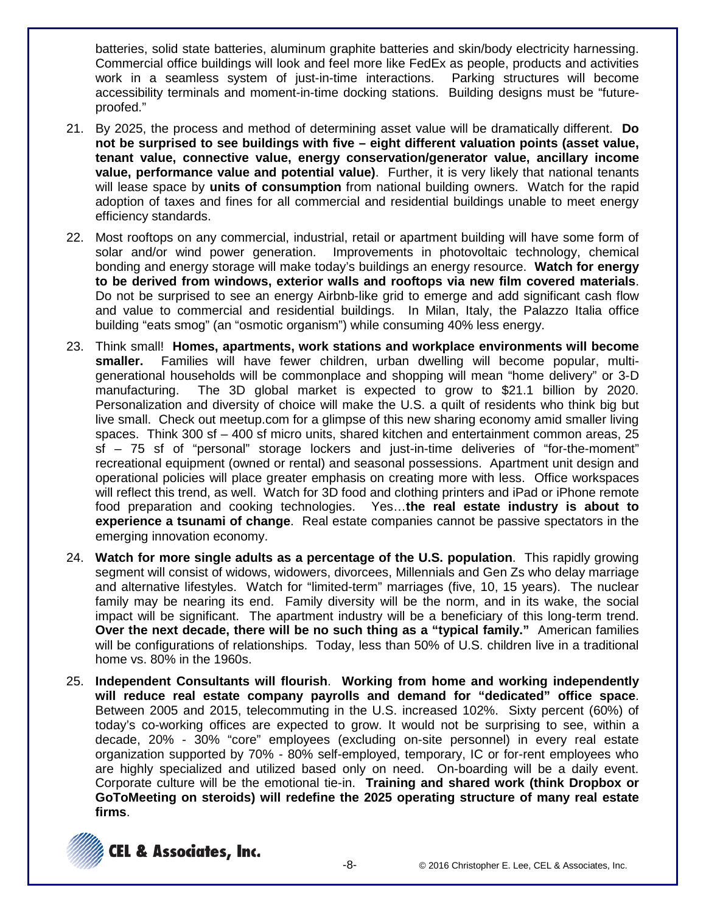batteries, solid state batteries, aluminum graphite batteries and skin/body electricity harnessing. Commercial office buildings will look and feel more like FedEx as people, products and activities work in a seamless system of just-in-time interactions. Parking structures will become accessibility terminals and moment-in-time docking stations. Building designs must be "futureproofed."

- 21. By 2025, the process and method of determining asset value will be dramatically different. **Do not be surprised to see buildings with five – eight different valuation points (asset value, tenant value, connective value, energy conservation/generator value, ancillary income value, performance value and potential value)**. Further, it is very likely that national tenants will lease space by **units of consumption** from national building owners. Watch for the rapid adoption of taxes and fines for all commercial and residential buildings unable to meet energy efficiency standards.
- 22. Most rooftops on any commercial, industrial, retail or apartment building will have some form of solar and/or wind power generation. Improvements in photovoltaic technology, chemical bonding and energy storage will make today's buildings an energy resource. **Watch for energy to be derived from windows, exterior walls and rooftops via new film covered materials**. Do not be surprised to see an energy Airbnb-like grid to emerge and add significant cash flow and value to commercial and residential buildings. In Milan, Italy, the Palazzo Italia office building "eats smog" (an "osmotic organism") while consuming 40% less energy.
- 23. Think small! **Homes, apartments, work stations and workplace environments will become smaller.** Families will have fewer children, urban dwelling will become popular, multigenerational households will be commonplace and shopping will mean "home delivery" or 3-D manufacturing. The 3D global market is expected to grow to \$21.1 billion by 2020. Personalization and diversity of choice will make the U.S. a quilt of residents who think big but live small. Check out meetup.com for a glimpse of this new sharing economy amid smaller living spaces. Think 300 sf – 400 sf micro units, shared kitchen and entertainment common areas, 25 sf – 75 sf of "personal" storage lockers and just-in-time deliveries of "for-the-moment" recreational equipment (owned or rental) and seasonal possessions. Apartment unit design and operational policies will place greater emphasis on creating more with less. Office workspaces will reflect this trend, as well. Watch for 3D food and clothing printers and iPad or iPhone remote food preparation and cooking technologies. Yes…**the real estate industry is about to experience a tsunami of change**. Real estate companies cannot be passive spectators in the emerging innovation economy.
- 24. **Watch for more single adults as a percentage of the U.S. population**. This rapidly growing segment will consist of widows, widowers, divorcees, Millennials and Gen Zs who delay marriage and alternative lifestyles. Watch for "limited-term" marriages (five, 10, 15 years). The nuclear family may be nearing its end. Family diversity will be the norm, and in its wake, the social impact will be significant. The apartment industry will be a beneficiary of this long-term trend. **Over the next decade, there will be no such thing as a "typical family."** American families will be configurations of relationships. Today, less than 50% of U.S. children live in a traditional home vs. 80% in the 1960s.
- 25. **Independent Consultants will flourish**. **Working from home and working independently will reduce real estate company payrolls and demand for "dedicated" office space**. Between 2005 and 2015, telecommuting in the U.S. increased 102%. Sixty percent (60%) of today's co-working offices are expected to grow. It would not be surprising to see, within a decade, 20% - 30% "core" employees (excluding on-site personnel) in every real estate organization supported by 70% - 80% self-employed, temporary, IC or for-rent employees who are highly specialized and utilized based only on need. On-boarding will be a daily event. Corporate culture will be the emotional tie-in. **Training and shared work (think Dropbox or GoToMeeting on steroids) will redefine the 2025 operating structure of many real estate firms**.

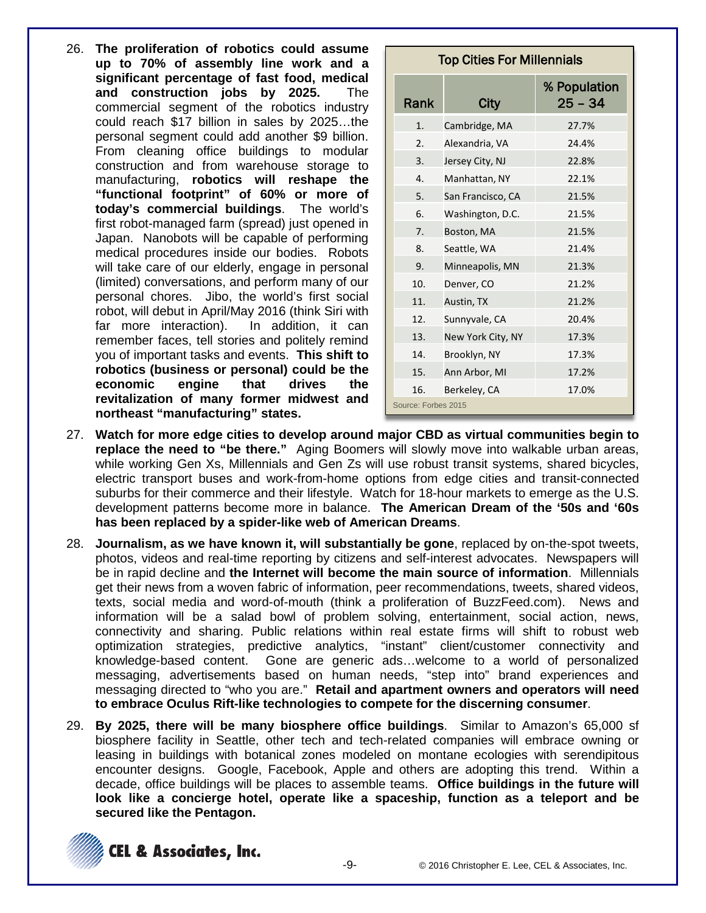26. **The proliferation of robotics could assume up to 70% of assembly line work and a significant percentage of fast food, medical and construction jobs by 2025.** The commercial segment of the robotics industry could reach \$17 billion in sales by 2025…the personal segment could add another \$9 billion. From cleaning office buildings to modular construction and from warehouse storage to manufacturing, **robotics will reshape the "functional footprint" of 60% or more of today's commercial buildings**. The world's first robot-managed farm (spread) just opened in Japan. Nanobots will be capable of performing medical procedures inside our bodies. Robots will take care of our elderly, engage in personal (limited) conversations, and perform many of our personal chores. Jibo, the world's first social robot, will debut in April/May 2016 (think Siri with far more interaction). In addition, it can remember faces, tell stories and politely remind you of important tasks and events. **This shift to robotics (business or personal) could be the economic engine that drives the revitalization of many former midwest and northeast "manufacturing" states.**

| <b>Top Cities For Millennials</b> |                   |                           |  |  |
|-----------------------------------|-------------------|---------------------------|--|--|
| <b>Rank</b>                       | City              | % Population<br>$25 - 34$ |  |  |
| 1.                                | Cambridge, MA     | 27.7%                     |  |  |
| 2.                                | Alexandria, VA    | 24.4%                     |  |  |
| 3.                                | Jersey City, NJ   | 22.8%                     |  |  |
| $\mathbf{4}$ .                    | Manhattan, NY     | 22.1%                     |  |  |
| 5.                                | San Francisco, CA | 21.5%                     |  |  |
| 6.                                | Washington, D.C.  | 21.5%                     |  |  |
| 7 <sub>1</sub>                    | Boston, MA        | 21.5%                     |  |  |
| 8.                                | Seattle, WA       | 21.4%                     |  |  |
| 9.                                | Minneapolis, MN   | 21.3%                     |  |  |
| 10.                               | Denver, CO        | 21.2%                     |  |  |
| 11.                               | Austin, TX        | 21.2%                     |  |  |
| 12.                               | Sunnyvale, CA     | 20.4%                     |  |  |
| 13.                               | New York City, NY | 17.3%                     |  |  |
| 14.                               | Brooklyn, NY      | 17.3%                     |  |  |
| 15.                               | Ann Arbor, MI     | 17.2%                     |  |  |
| 16.                               | Berkeley, CA      | 17.0%                     |  |  |
| Source: Forbes 2015               |                   |                           |  |  |

- 27. **Watch for more edge cities to develop around major CBD as virtual communities begin to replace the need to "be there."** Aging Boomers will slowly move into walkable urban areas, while working Gen Xs, Millennials and Gen Zs will use robust transit systems, shared bicycles, electric transport buses and work-from-home options from edge cities and transit-connected suburbs for their commerce and their lifestyle. Watch for 18-hour markets to emerge as the U.S. development patterns become more in balance. **The American Dream of the '50s and '60s has been replaced by a spider-like web of American Dreams**.
- 28. **Journalism, as we have known it, will substantially be gone**, replaced by on-the-spot tweets, photos, videos and real-time reporting by citizens and self-interest advocates. Newspapers will be in rapid decline and **the Internet will become the main source of information**. Millennials get their news from a woven fabric of information, peer recommendations, tweets, shared videos, texts, social media and word-of-mouth (think a proliferation of BuzzFeed.com). News and information will be a salad bowl of problem solving, entertainment, social action, news, connectivity and sharing. Public relations within real estate firms will shift to robust web optimization strategies, predictive analytics, "instant" client/customer connectivity and knowledge-based content. Gone are generic ads…welcome to a world of personalized messaging, advertisements based on human needs, "step into" brand experiences and messaging directed to "who you are." **Retail and apartment owners and operators will need to embrace Oculus Rift-like technologies to compete for the discerning consumer**.
- 29. **By 2025, there will be many biosphere office buildings**. Similar to Amazon's 65,000 sf biosphere facility in Seattle, other tech and tech-related companies will embrace owning or leasing in buildings with botanical zones modeled on montane ecologies with serendipitous encounter designs. Google, Facebook, Apple and others are adopting this trend. Within a decade, office buildings will be places to assemble teams. **Office buildings in the future will look like a concierge hotel, operate like a spaceship, function as a teleport and be secured like the Pentagon.**

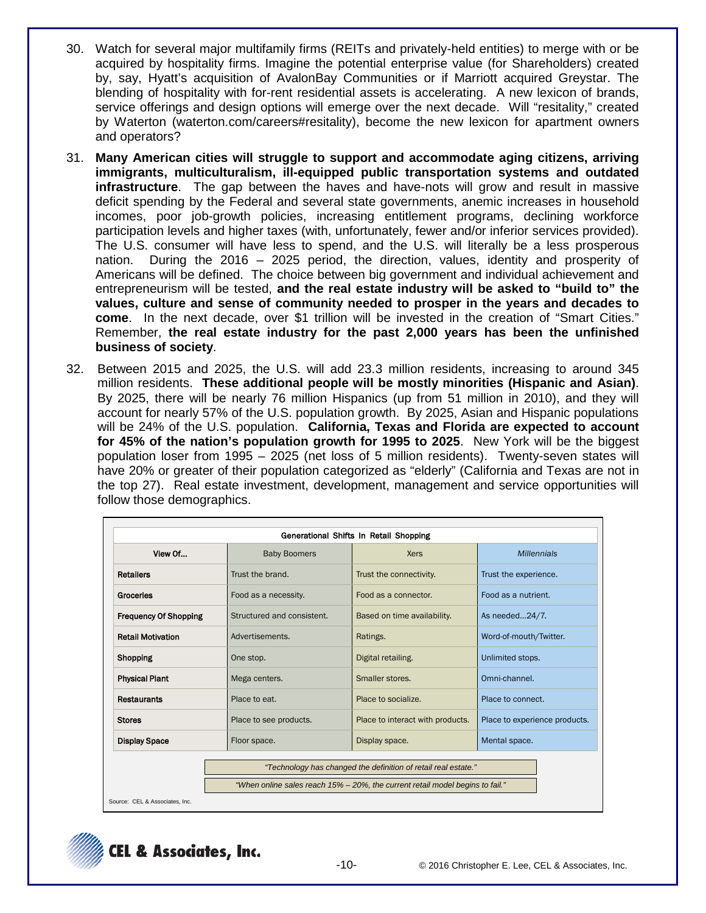- 30. Watch for several major multifamily firms (REITs and privately-held entities) to merge with or be acquired by hospitality firms. Imagine the potential enterprise value (for Shareholders) created by, say, Hyatt's acquisition of AvalonBay Communities or if Marriott acquired Greystar. The blending of hospitality with for-rent residential assets is accelerating. A new lexicon of brands, service offerings and design options will emerge over the next decade. Will "resitality," created by Waterton (waterton.com/careers#resitality), become the new lexicon for apartment owners and operators?
- 31. **Many American cities will struggle to support and accommodate aging citizens, arriving immigrants, multiculturalism, ill-equipped public transportation systems and outdated infrastructure**. The gap between the haves and have-nots will grow and result in massive deficit spending by the Federal and several state governments, anemic increases in household incomes, poor job-growth policies, increasing entitlement programs, declining workforce participation levels and higher taxes (with, unfortunately, fewer and/or inferior services provided). The U.S. consumer will have less to spend, and the U.S. will literally be a less prosperous nation. During the 2016 – 2025 period, the direction, values, identity and prosperity of Americans will be defined. The choice between big government and individual achievement and entrepreneurism will be tested, **and the real estate industry will be asked to "build to" the values, culture and sense of community needed to prosper in the years and decades to come**. In the next decade, over \$1 trillion will be invested in the creation of "Smart Cities." Remember, **the real estate industry for the past 2,000 years has been the unfinished business of society**.
- 32. Between 2015 and 2025, the U.S. will add 23.3 million residents, increasing to around 345 million residents. **These additional people will be mostly minorities (Hispanic and Asian)**. By 2025, there will be nearly 76 million Hispanics (up from 51 million in 2010), and they will account for nearly 57% of the U.S. population growth. By 2025, Asian and Hispanic populations will be 24% of the U.S. population. **California, Texas and Florida are expected to account for 45% of the nation's population growth for 1995 to 2025**. New York will be the biggest population loser from 1995 – 2025 (net loss of 5 million residents). Twenty-seven states will have 20% or greater of their population categorized as "elderly" (California and Texas are not in the top 27). Real estate investment, development, management and service opportunities will follow those demographics.

|                              |                            | Generational Shifts In Retail Shopping                                        |                               |  |
|------------------------------|----------------------------|-------------------------------------------------------------------------------|-------------------------------|--|
| View Of                      | <b>Baby Boomers</b>        | <b>Xers</b>                                                                   | <b>Millennials</b>            |  |
| <b>Retailers</b>             | Trust the brand.           | Trust the connectivity.                                                       | Trust the experience.         |  |
| Groceries                    | Food as a necessity.       | Food as a connector.                                                          | Food as a nutrient.           |  |
| <b>Frequency Of Shopping</b> | Structured and consistent. | Based on time availability.                                                   | As needed24/7.                |  |
| <b>Retail Motivation</b>     | Advertisements.            | Ratings.                                                                      | Word-of-mouth/Twitter.        |  |
| <b>Shopping</b>              | One stop.                  | Digital retailing.                                                            | Unlimited stops.              |  |
| <b>Physical Plant</b>        | Mega centers.              | Smaller stores.                                                               | Omni-channel.                 |  |
| <b>Restaurants</b>           | Place to eat.              | Place to socialize.                                                           | Place to connect.             |  |
| <b>Stores</b>                | Place to see products.     | Place to interact with products.                                              | Place to experience products. |  |
| <b>Display Space</b>         | Floor space.               | Display space.                                                                | Mental space.                 |  |
|                              |                            | "Technology has changed the definition of retail real estate."                |                               |  |
|                              |                            | "When online sales reach 15% - 20%, the current retail model begins to fail." |                               |  |

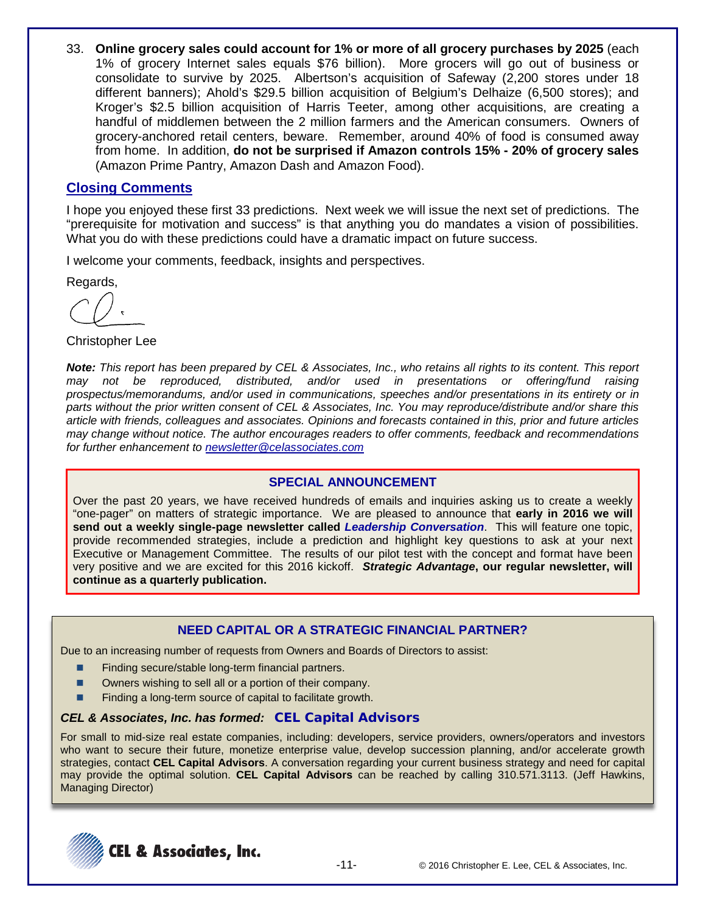33. **Online grocery sales could account for 1% or more of all grocery purchases by 2025** (each 1% of grocery Internet sales equals \$76 billion). More grocers will go out of business or consolidate to survive by 2025. Albertson's acquisition of Safeway (2,200 stores under 18 different banners); Ahold's \$29.5 billion acquisition of Belgium's Delhaize (6,500 stores); and Kroger's \$2.5 billion acquisition of Harris Teeter, among other acquisitions, are creating a handful of middlemen between the 2 million farmers and the American consumers. Owners of grocery-anchored retail centers, beware. Remember, around 40% of food is consumed away from home. In addition, **do not be surprised if Amazon controls 15% - 20% of grocery sales** (Amazon Prime Pantry, Amazon Dash and Amazon Food).

# **Closing Comments**

I hope you enjoyed these first 33 predictions. Next week we will issue the next set of predictions. The "prerequisite for motivation and success" is that anything you do mandates a vision of possibilities. What you do with these predictions could have a dramatic impact on future success.

I welcome your comments, feedback, insights and perspectives.

Regards,

Christopher Lee

*Note: This report has been prepared by CEL & Associates, Inc., who retains all rights to its content. This report may not be reproduced, distributed, and/or used in presentations or offering/fund raising prospectus/memorandums, and/or used in communications, speeches and/or presentations in its entirety or in parts without the prior written consent of CEL & Associates, Inc. You may reproduce/distribute and/or share this article with friends, colleagues and associates. Opinions and forecasts contained in this, prior and future articles may change without notice. The author encourages readers to offer comments, feedback and recommendations for further enhancement to [newsletter@celassociates.com](mailto:newsletter@celassociates.com)*

## **SPECIAL ANNOUNCEMENT**

Over the past 20 years, we have received hundreds of emails and inquiries asking us to create a weekly "one-pager" on matters of strategic importance. We are pleased to announce that **early in 2016 we will send out a weekly single-page newsletter called** *Leadership Conversation*. This will feature one topic, provide recommended strategies, include a prediction and highlight key questions to ask at your next Executive or Management Committee. The results of our pilot test with the concept and format have been very positive and we are excited for this 2016 kickoff. *Strategic Advantage***, our regular newsletter, will continue as a quarterly publication.** 

## **NEED CAPITAL OR A STRATEGIC FINANCIAL PARTNER?**

Due to an increasing number of requests from Owners and Boards of Directors to assist:

- Finding secure/stable long-term financial partners.
- Owners wishing to sell all or a portion of their company.
- **Finding a long-term source of capital to facilitate growth.**

#### *CEL & Associates, Inc. has formed:* **CEL Capital Advisors**

For small to mid-size real estate companies, including: developers, service providers, owners/operators and investors who want to secure their future, monetize enterprise value, develop succession planning, and/or accelerate growth strategies, contact **CEL Capital Advisors**. A conversation regarding your current business strategy and need for capital may provide the optimal solution. **CEL Capital Advisors** can be reached by calling 310.571.3113. (Jeff Hawkins, Managing Director)

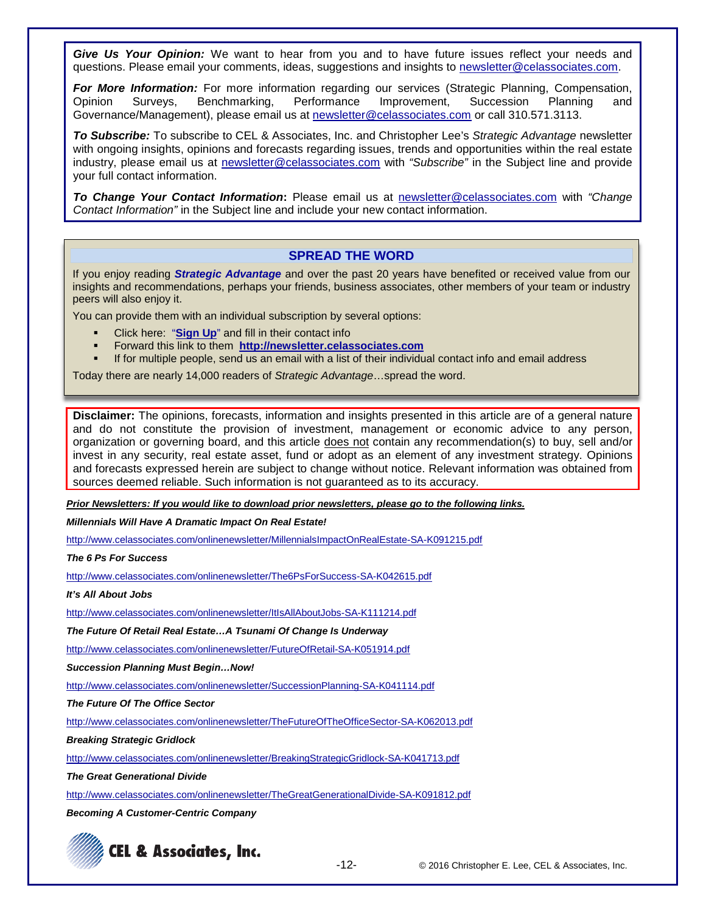*Give Us Your Opinion:* We want to hear from you and to have future issues reflect your needs and questions. Please email your comments, ideas, suggestions and insights to newsletter@celassociates.com.

*For More Information:* For more information regarding our services (Strategic Planning, Compensation, Opinion Surveys, Benchmarking, Governance/Management), please email us at newsletter@celassociates.com or call 310.571.3113.

*To Subscribe:* To subscribe to CEL & Associates, Inc. and Christopher Lee's *Strategic Advantage* newsletter with ongoing insights, opinions and forecasts regarding issues, trends and opportunities within the real estate industry, please email us at newsletter@celassociates.com with *"Subscribe"* in the Subject line and provide your full contact information.

*To Change Your Contact Information***:** Please email us at newsletter@celassociates.com with *"Change Contact Information"* in the Subject line and include your new contact information.

#### **SPREAD THE WORD**

If you enjoy reading *Strategic Advantage* and over the past 20 years have benefited or received value from our insights and recommendations, perhaps your friends, business associates, other members of your team or industry peers will also enjoy it.

You can provide them with an individual subscription by several options:

- Click here: "**[Sign Up](http://newsletter.celassociates.com/)**" and fill in their contact info
- Forward this link to them **http://newsletter.celassociates.com**
- If for multiple people, send us an email with a list of their individual contact info and email address

Today there are nearly 14,000 readers of *Strategic Advantage*…spread the word.

**Disclaimer:** The opinions, forecasts, information and insights presented in this article are of a general nature and do not constitute the provision of investment, management or economic advice to any person, organization or governing board, and this article does not contain any recommendation(s) to buy, sell and/or invest in any security, real estate asset, fund or adopt as an element of any investment strategy. Opinions and forecasts expressed herein are subject to change without notice. Relevant information was obtained from sources deemed reliable. Such information is not guaranteed as to its accuracy.

*Prior Newsletters: If you would like to download prior newsletters, please go to the following links.*

*Millennials Will Have A Dramatic Impact On Real Estate!*

http://www.celassociates.com/onlinenewsletter/MillennialsImpactOnRealEstate-SA-K091215.pdf

*The 6 Ps For Success*

http://www.celassociates.com/onlinenewsletter/The6PsForSuccess-SA-K042615.pdf

*It's All About Jobs*

http://www.celassociates.com/onlinenewsletter/ItIsAllAboutJobs-SA-K111214.pdf

*The Future Of Retail Real Estate…A Tsunami Of Change Is Underway*

<http://www.celassociates.com/onlinenewsletter/FutureOfRetail-SA-K051914.pdf>

*Succession Planning Must Begin…Now!*

http://www.celassociates.com/onlinenewsletter/SuccessionPlanning-SA-K041114.pdf

*The Future Of The Office Sector*

http://www.celassociates.com/onlinenewsletter/TheFutureOfTheOfficeSector-SA-K062013.pdf

*Breaking Strategic Gridlock*

http://www.celassociates.com/onlinenewsletter/BreakingStrategicGridlock-SA-K041713.pdf

*The Great Generational Divide*

http://www.celassociates.com/onlinenewsletter/TheGreatGenerationalDivide-SA-K091812.pdf

*Becoming A Customer-Centric Company*